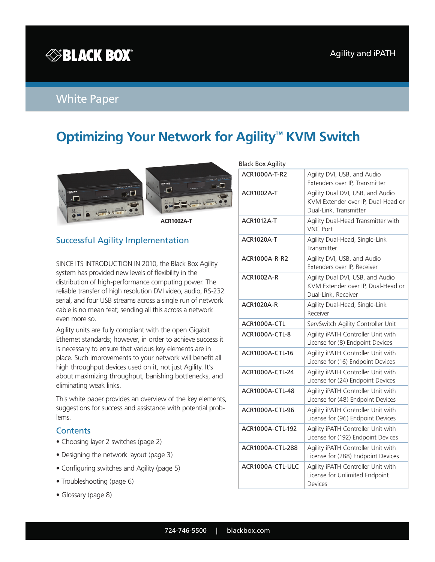# **SBLACK BOX®**

# White Paper

# **Optimizing Your Network for Agility™ KVM Switch**





## Successful Agility Implementation

SINCE ITS INTRODUCTION IN 2010, the Black Box Agility system has provided new levels of flexibility in the distribution of high-performance computing power. The reliable transfer of high resolution DVI video, audio, RS-232 serial, and four USB streams across a single run of network cable is no mean feat; sending all this across a network even more so.

Agility units are fully compliant with the open Gigabit Ethernet standards; however, in order to achieve success it is necessary to ensure that various key elements are in place. Such improvements to your network will benefit all high throughput devices used on it, not just Agility. It's about maximizing throughput, banishing bottlenecks, and eliminating weak links.

This white paper provides an overview of the key elements, suggestions for success and assistance with potential problems.

## **Contents**

- Choosing layer 2 switches (page 2)
- Designing the network layout (page 3)
- Configuring switches and Agility (page 5)
- Troubleshooting (page 6)
- Glossary (page 8)

| <b>Black Box Agility</b> |  |
|--------------------------|--|
|--------------------------|--|

| ACR1000A-T-R2     | Agility DVI, USB, and Audio<br>Extenders over IP, Transmitter                                    |  |
|-------------------|--------------------------------------------------------------------------------------------------|--|
| ACR1002A-T        | Agility Dual DVI, USB, and Audio<br>KVM Extender over IP, Dual-Head or<br>Dual-Link, Transmitter |  |
| ACR1012A-T        | Agility Dual-Head Transmitter with<br><b>VNC Port</b>                                            |  |
| <b>ACR1020A-T</b> | Agility Dual-Head, Single-Link<br>Transmitter                                                    |  |
| ACR1000A-R-R2     | Agility DVI, USB, and Audio<br>Extenders over IP, Receiver                                       |  |
| ACR1002A-R        | Agility Dual DVI, USB, and Audio<br>KVM Extender over IP, Dual-Head or<br>Dual-Link, Receiver    |  |
| <b>ACR1020A-R</b> | Agility Dual-Head, Single-Link<br>Receiver                                                       |  |
| ACR1000A-CTL      | ServSwitch Agility Controller Unit                                                               |  |
| ACR1000A-CTL-8    | Agility iPATH Controller Unit with<br>License for (8) Endpoint Devices                           |  |
| ACR1000A-CTL-16   | Agility iPATH Controller Unit with<br>License for (16) Endpoint Devices                          |  |
| ACR1000A-CTL-24   | Agility iPATH Controller Unit with<br>License for (24) Endpoint Devices                          |  |
| ACR1000A-CTL-48   | Agility iPATH Controller Unit with<br>License for (48) Endpoint Devices                          |  |
| ACR1000A-CTL-96   | Agility iPATH Controller Unit with<br>License for (96) Endpoint Devices                          |  |
| ACR1000A-CTL-192  | Agility iPATH Controller Unit with<br>License for (192) Endpoint Devices                         |  |
| ACR1000A-CTL-288  | Agility iPATH Controller Unit with<br>License for (288) Endpoint Devices                         |  |
| ACR1000A-CTL-ULC  | Agility iPATH Controller Unit with<br>License for Unlimited Endpoint<br>Devices                  |  |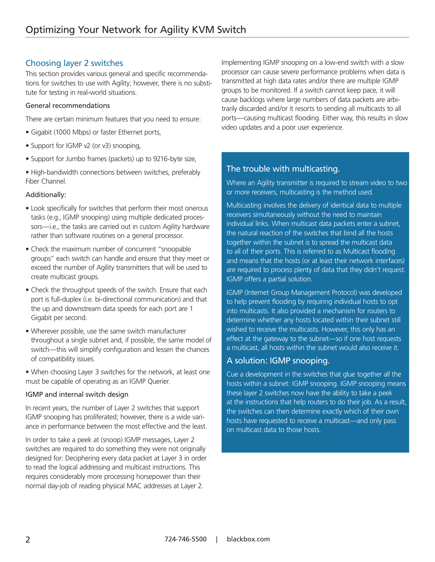## Choosing layer 2 switches

This section provides various general and specific recommendations for switches to use with Agility; however, there is no substitute for testing in real-world situations.

#### General recommendations

There are certain minimum features that you need to ensure:

- Gigabit (1000 Mbps) or faster Ethernet ports,
- Support for IGMP v2 (or v3) snooping,
- Support for Jumbo frames (packets) up to 9216-byte size,
- High-bandwidth connections between switches, preferably Fiber Channel.

#### Additionally:

- Look specifically for switches that perform their most onerous tasks (e.g., IGMP snooping) using multiple dedicated processors—i.e., the tasks are carried out in custom Agility hardware rather than software routines on a general processor.
- Check the maximum number of concurrent "snoopable groups" each switch can handle and ensure that they meet or exceed the number of Agility transmitters that will be used to create multicast groups.
- Check the throughput speeds of the switch. Ensure that each port is full-duplex (i.e. bi-directional communication) and that the up and downstream data speeds for each port are 1 Gigabit per second.
- Wherever possible, use the same switch manufacturer throughout a single subnet and, if possible, the same model of switch—this will simplify configuration and lessen the chances of compatibility issues.

• When choosing Layer 3 switches for the network, at least one must be capable of operating as an IGMP Querier.

#### IGMP and internal switch design

In recent years, the number of Layer 2 switches that support IGMP snooping has proliferated; however, there is a wide variance in performance between the most effective and the least.

In order to take a peek at (snoop) IGMP messages, Layer 2 switches are required to do something they were not originally designed for: Deciphering every data packet at Layer 3 in order to read the logical addressing and multicast instructions. This requires considerably more processing horsepower than their normal day-job of reading physical MAC addresses at Layer 2.

Implementing IGMP snooping on a low-end switch with a slow processor can cause severe performance problems when data is transmitted at high data rates and/or there are multiple IGMP groups to be monitored. If a switch cannot keep pace, it will cause backlogs where large numbers of data packets are arbitrarily discarded and/or it resorts to sending all multicasts to all ports—causing multicast flooding. Either way, this results in slow video updates and a poor user experience.

## The trouble with multicasting.

Where an Agility transmitter is required to stream video to two or more receivers, multicasting is the method used.

Multicasting involves the delivery of identical data to multiple receivers simultaneously without the need to maintain individual links. When multicast data packets enter a subnet, the natural reaction of the switches that bind all the hosts together within the subnet is to spread the multicast data to all of their ports. This is referred to as Multicast flooding and means that the hosts (or at least their network interfaces) are required to process plenty of data that they didn't request. IGMP offers a partial solution.

IGMP (Internet Group Management Protocol) was developed to help prevent flooding by requiring individual hosts to opt into multicasts. It also provided a mechanism for routers to determine whether any hosts located within their subnet still wished to receive the multicasts. However, this only has an effect at the gateway to the subnet—so if one host requests a multicast, all hosts within the subnet would also receive it.

#### A solution: IGMP snooping.

Cue a development in the switches that glue together all the hosts within a subnet: IGMP snooping. IGMP snooping means these layer 2 switches now have the ability to take a peek at the instructions that help routers to do their job. As a result, the switches can then determine exactly which of their own hosts have requested to receive a multicast—and only pass on multicast data to those hosts.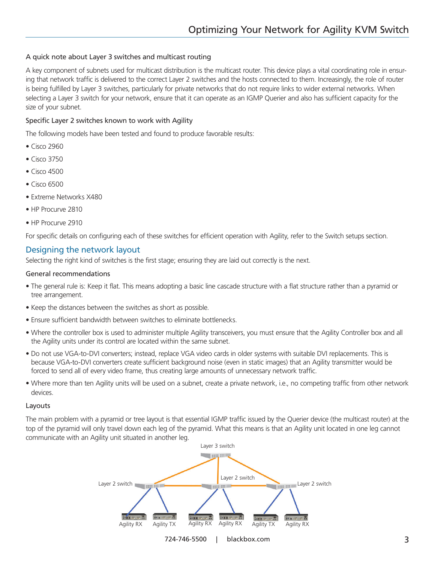#### A quick note about Layer 3 switches and multicast routing

A key component of subnets used for multicast distribution is the multicast router. This device plays a vital coordinating role in ensuring that network traffic is delivered to the correct Layer 2 switches and the hosts connected to them. Increasingly, the role of router is being fulfilled by Layer 3 switches, particularly for private networks that do not require links to wider external networks. When selecting a Layer 3 switch for your network, ensure that it can operate as an IGMP Querier and also has sufficient capacity for the size of your subnet.

#### Specific Layer 2 switches known to work with Agility

The following models have been tested and found to produce favorable results:

- Cisco 2960
- Cisco 3750
- Cisco 4500
- Cisco 6500
- Extreme Networks X480
- HP Procurve 2810
- HP Procurve 2910

For specific details on configuring each of these switches for efficient operation with Agility, refer to the Switch setups section.

## Designing the network layout

Selecting the right kind of switches is the first stage; ensuring they are laid out correctly is the next.

#### General recommendations

- The general rule is: Keep it flat. This means adopting a basic line cascade structure with a flat structure rather than a pyramid or tree arrangement.
- Keep the distances between the switches as short as possible.
- Ensure sufficient bandwidth between switches to eliminate bottlenecks.
- Where the controller box is used to administer multiple Agility transceivers, you must ensure that the Agility Controller box and all the Agility units under its control are located within the same subnet.
- Do not use VGA-to-DVI converters; instead, replace VGA video cards in older systems with suitable DVI replacements. This is because VGA-to-DVI converters create sufficient background noise (even in static images) that an Agility transmitter would be forced to send all of every video frame, thus creating large amounts of unnecessary network traffic.
- Where more than ten Agility units will be used on a subnet, create a private network, i.e., no competing traffic from other network devices.

#### Layouts

The main problem with a pyramid or tree layout is that essential IGMP traffic issued by the Querier device (the multicast router) at the top of the pyramid will only travel down each leg of the pyramid. What this means is that an Agility unit located in one leg cannot communicate with an Agility unit situated in another leg.

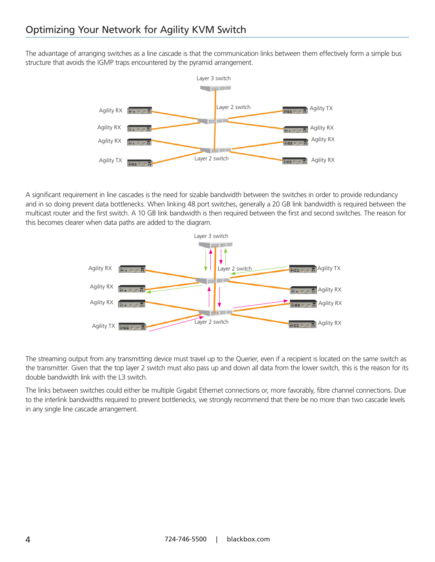The advantage of arranging switches as a line cascade is that the communication links between them effectively form a simple bus structure that avoids the IGMP traps encountered by the pyramid arrangement.



A significant requirement in line cascades is the need for sizable bandwidth between the switches in order to provide redundancy and in so doing prevent data bottlenecks. When linking 48 port switches, generally a 20 GB link bandwidth is required between the multicast router and the first switch. A 10 GB link bandwidth is then required between the first and second switches. The reason for this becomes clearer when data paths are added to the diagram.



The streaming output from any transmitting device must travel up to the Querier, even if a recipient is located on the same switch as the transmitter. Given that the top layer 2 switch must also pass up and down all data from the lower switch, this is the reason for its double bandwidth link with the L3 switch.

The links between switches could either be multiple Gigabit Ethernet connections or, more favorably, fibre channel connections. Due to the interlink bandwidths required to prevent bottlenecks, we strongly recommend that there be no more than two cascade levels in any single line cascade arrangement.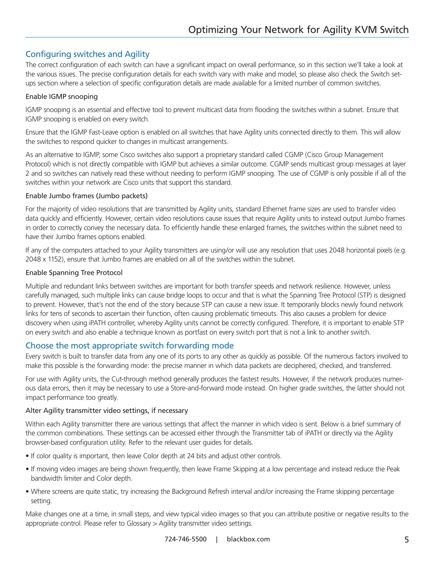## Configuring switches and Agility

The correct configuration of each switch can have a significant impact on overall performance, so in this section we'll take a look at the various issues. The precise configuration details for each switch vary with make and model, so please also check the Switch setups section where a selection of specific configuration details are made available for a limited number of common switches.

#### Enable IGMP snooping

IGMP snooping is an essential and effective tool to prevent multicast data from flooding the switches within a subnet. Ensure that IGMP snooping is enabled on every switch.

Ensure that the IGMP Fast-Leave option is enabled on all switches that have Agility units connected directly to them. This will allow the switches to respond quicker to changes in multicast arrangements.

As an alternative to IGMP, some Cisco switches also support a proprietary standard called CGMP (Cisco Group Management Protocol) which is not directly compatible with IGMP but achieves a similar outcome. CGMP sends multicast group messages at layer 2 and so switches can natively read these without needing to perform IGMP snooping. The use of CGMP is only possible if all of the switches within your network are Cisco units that support this standard.

#### Enable Jumbo frames (Jumbo packets)

For the majority of video resolutions that are transmitted by Agility units, standard Ethernet frame sizes are used to transfer video data quickly and efficiently. However, certain video resolutions cause issues that require Agility units to instead output Jumbo frames in order to correctly convey the necessary data. To efficiently handle these enlarged frames, the switches within the subnet need to have their Jumbo frames options enabled.

If any of the computers attached to your Agility transmitters are using/or will use any resolution that uses 2048 horizontal pixels (e.g. 2048 x 1152), ensure that Jumbo frames are enabled on all of the switches within the subnet.

#### Enable Spanning Tree Protocol

Multiple and redundant links between switches are important for both transfer speeds and network resilience. However, unless carefully managed, such multiple links can cause bridge loops to occur and that is what the Spanning Tree Protocol (STP) is designed to prevent. However, that's not the end of the story because STP can cause a new issue. It temporarily blocks newly found network links for tens of seconds to ascertain their function, often causing problematic timeouts. This also causes a problem for device discovery when using iPATH controller, whereby Agility units cannot be correctly configured. Therefore, it is important to enable STP on every switch and also enable a technique known as portfast on every switch port that is not a link to another switch.

## Choose the most appropriate switch forwarding mode

Every switch is built to transfer data from any one of its ports to any other as quickly as possible. Of the numerous factors involved to make this possible is the forwarding mode: the precise manner in which data packets are deciphered, checked, and transferred.

For use with Agility units, the Cut-through method generally produces the fastest results. However, if the network produces numerous data errors, then it may be necessary to use a Store-and-forward mode instead. On higher grade switches, the latter should not impact performance too greatly.

#### Alter Agility transmitter video settings, if necessary

Within each Agility transmitter there are various settings that affect the manner in which video is sent. Below is a brief summary of the common combinations. These settings can be accessed either through the Transmitter tab of iPATH or directly via the Agility browser-based configuration utility. Refer to the relevant user guides for details.

- If color quality is important, then leave Color depth at 24 bits and adjust other controls.
- If moving video images are being shown frequently, then leave Frame Skipping at a low percentage and instead reduce the Peak bandwidth limiter and Color depth.
- Where screens are quite static, try increasing the Background Refresh interval and/or increasing the Frame skipping percentage setting.

Make changes one at a time, in small steps, and view typical video images so that you can attribute positive or negative results to the appropriate control. Please refer to Glossary > Agility transmitter video settings.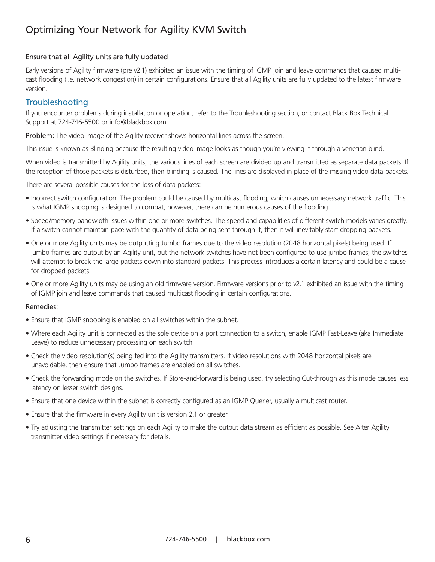#### Ensure that all Agility units are fully updated

Early versions of Agility firmware (pre v2.1) exhibited an issue with the timing of IGMP join and leave commands that caused multicast flooding (i.e. network congestion) in certain configurations. Ensure that all Agility units are fully updated to the latest firmware version.

## Troubleshooting

If you encounter problems during installation or operation, refer to the Troubleshooting section, or contact Black Box Technical Support at 724-746-5500 or info@blackbox.com.

Problem: The video image of the Agility receiver shows horizontal lines across the screen.

This issue is known as Blinding because the resulting video image looks as though you're viewing it through a venetian blind.

When video is transmitted by Agility units, the various lines of each screen are divided up and transmitted as separate data packets. If the reception of those packets is disturbed, then blinding is caused. The lines are displayed in place of the missing video data packets.

There are several possible causes for the loss of data packets:

- Incorrect switch configuration. The problem could be caused by multicast flooding, which causes unnecessary network traffic. This is what IGMP snooping is designed to combat; however, there can be numerous causes of the flooding.
- Speed/memory bandwidth issues within one or more switches. The speed and capabilities of different switch models varies greatly. If a switch cannot maintain pace with the quantity of data being sent through it, then it will inevitably start dropping packets.
- One or more Agility units may be outputting Jumbo frames due to the video resolution (2048 horizontal pixels) being used. If jumbo frames are output by an Agility unit, but the network switches have not been configured to use jumbo frames, the switches will attempt to break the large packets down into standard packets. This process introduces a certain latency and could be a cause for dropped packets.
- One or more Agility units may be using an old firmware version. Firmware versions prior to v2.1 exhibited an issue with the timing of IGMP join and leave commands that caused multicast flooding in certain configurations.

#### Remedies:

- Ensure that IGMP snooping is enabled on all switches within the subnet.
- Where each Agility unit is connected as the sole device on a port connection to a switch, enable IGMP Fast-Leave (aka Immediate Leave) to reduce unnecessary processing on each switch.
- Check the video resolution(s) being fed into the Agility transmitters. If video resolutions with 2048 horizontal pixels are unavoidable, then ensure that Jumbo frames are enabled on all switches.
- Check the forwarding mode on the switches. If Store-and-forward is being used, try selecting Cut-through as this mode causes less latency on lesser switch designs.
- Ensure that one device within the subnet is correctly configured as an IGMP Querier, usually a multicast router.
- Ensure that the firmware in every Agility unit is version 2.1 or greater.
- Try adjusting the transmitter settings on each Agility to make the output data stream as efficient as possible. See Alter Agility transmitter video settings if necessary for details.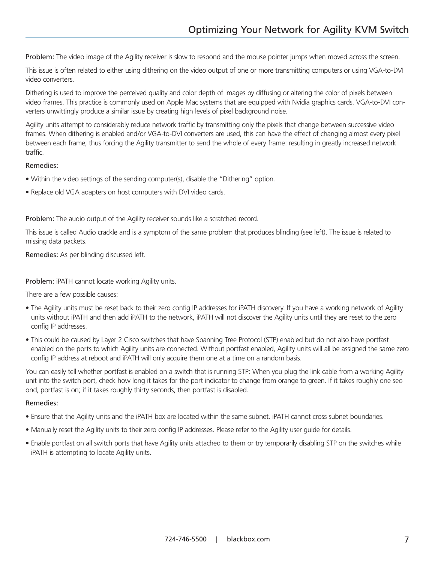Problem: The video image of the Agility receiver is slow to respond and the mouse pointer jumps when moved across the screen.

This issue is often related to either using dithering on the video output of one or more transmitting computers or using VGA-to-DVI video converters.

Dithering is used to improve the perceived quality and color depth of images by diffusing or altering the color of pixels between video frames. This practice is commonly used on Apple Mac systems that are equipped with Nvidia graphics cards. VGA-to-DVI converters unwittingly produce a similar issue by creating high levels of pixel background noise.

Agility units attempt to considerably reduce network traffic by transmitting only the pixels that change between successive video frames. When dithering is enabled and/or VGA-to-DVI converters are used, this can have the effect of changing almost every pixel between each frame, thus forcing the Agility transmitter to send the whole of every frame: resulting in greatly increased network traffic.

#### Remedies:

- Within the video settings of the sending computer(s), disable the "Dithering" option.
- Replace old VGA adapters on host computers with DVI video cards.

Problem: The audio output of the Agility receiver sounds like a scratched record.

This issue is called Audio crackle and is a symptom of the same problem that produces blinding (see left). The issue is related to missing data packets.

#### Remedies: As per blinding discussed left.

Problem: iPATH cannot locate working Agility units.

There are a few possible causes:

- The Agility units must be reset back to their zero config IP addresses for iPATH discovery. If you have a working network of Agility units without iPATH and then add iPATH to the network, iPATH will not discover the Agility units until they are reset to the zero config IP addresses.
- This could be caused by Layer 2 Cisco switches that have Spanning Tree Protocol (STP) enabled but do not also have portfast enabled on the ports to which Agility units are connected. Without portfast enabled, Agility units will all be assigned the same zero config IP address at reboot and iPATH will only acquire them one at a time on a random basis.

You can easily tell whether portfast is enabled on a switch that is running STP: When you plug the link cable from a working Agility unit into the switch port, check how long it takes for the port indicator to change from orange to green. If it takes roughly one second, portfast is on; if it takes roughly thirty seconds, then portfast is disabled.

#### Remedies:

- Ensure that the Agility units and the iPATH box are located within the same subnet. iPATH cannot cross subnet boundaries.
- Manually reset the Agility units to their zero config IP addresses. Please refer to the Agility user guide for details.
- Enable portfast on all switch ports that have Agility units attached to them or try temporarily disabling STP on the switches while iPATH is attempting to locate Agility units.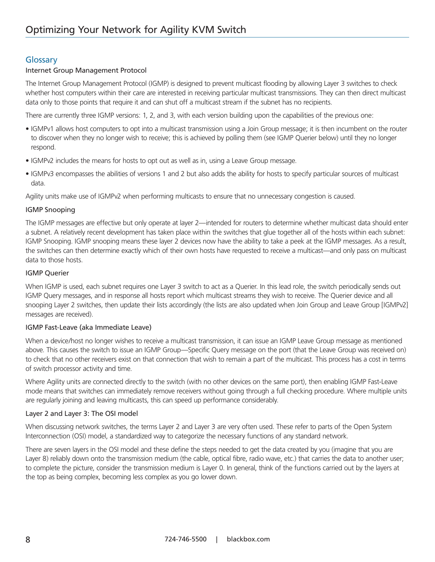## Glossary

#### Internet Group Management Protocol

The Internet Group Management Protocol (IGMP) is designed to prevent multicast flooding by allowing Layer 3 switches to check whether host computers within their care are interested in receiving particular multicast transmissions. They can then direct multicast data only to those points that require it and can shut off a multicast stream if the subnet has no recipients.

There are currently three IGMP versions: 1, 2, and 3, with each version building upon the capabilities of the previous one:

- IGMPv1 allows host computers to opt into a multicast transmission using a Join Group message; it is then incumbent on the router to discover when they no longer wish to receive; this is achieved by polling them (see IGMP Querier below) until they no longer respond.
- IGMPv2 includes the means for hosts to opt out as well as in, using a Leave Group message.
- IGMPv3 encompasses the abilities of versions 1 and 2 but also adds the ability for hosts to specify particular sources of multicast data.

Agility units make use of IGMPv2 when performing multicasts to ensure that no unnecessary congestion is caused.

#### IGMP Snooping

The IGMP messages are effective but only operate at layer 2—intended for routers to determine whether multicast data should enter a subnet. A relatively recent development has taken place within the switches that glue together all of the hosts within each subnet: IGMP Snooping. IGMP snooping means these layer 2 devices now have the ability to take a peek at the IGMP messages. As a result, the switches can then determine exactly which of their own hosts have requested to receive a multicast—and only pass on multicast data to those hosts.

#### IGMP Querier

When IGMP is used, each subnet requires one Layer 3 switch to act as a Querier. In this lead role, the switch periodically sends out IGMP Query messages, and in response all hosts report which multicast streams they wish to receive. The Querier device and all snooping Layer 2 switches, then update their lists accordingly (the lists are also updated when Join Group and Leave Group [IGMPv2] messages are received).

#### IGMP Fast-Leave (aka Immediate Leave)

When a device/host no longer wishes to receive a multicast transmission, it can issue an IGMP Leave Group message as mentioned above. This causes the switch to issue an IGMP Group—Specific Query message on the port (that the Leave Group was received on) to check that no other receivers exist on that connection that wish to remain a part of the multicast. This process has a cost in terms of switch processor activity and time.

Where Agility units are connected directly to the switch (with no other devices on the same port), then enabling IGMP Fast-Leave mode means that switches can immediately remove receivers without going through a full checking procedure. Where multiple units are regularly joining and leaving multicasts, this can speed up performance considerably.

#### Layer 2 and Layer 3: The OSI model

When discussing network switches, the terms Layer 2 and Layer 3 are very often used. These refer to parts of the Open System Interconnection (OSI) model, a standardized way to categorize the necessary functions of any standard network.

There are seven layers in the OSI model and these define the steps needed to get the data created by you (imagine that you are Layer 8) reliably down onto the transmission medium (the cable, optical fibre, radio wave, etc.) that carries the data to another user; to complete the picture, consider the transmission medium is Layer 0. In general, think of the functions carried out by the layers at the top as being complex, becoming less complex as you go lower down.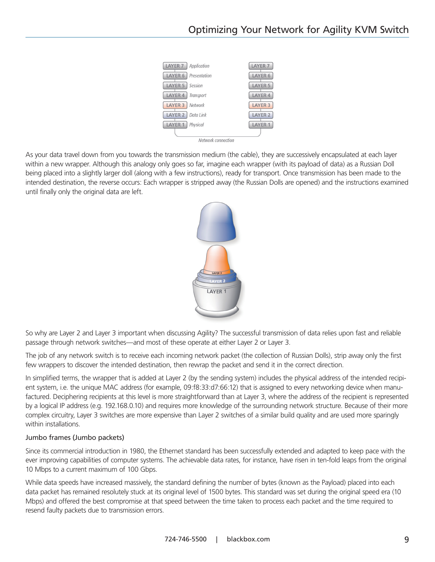

As your data travel down from you towards the transmission medium (the cable), they are successively encapsulated at each layer within a new wrapper. Although this analogy only goes so far, imagine each wrapper (with its payload of data) as a Russian Doll being placed into a slightly larger doll (along with a few instructions), ready for transport. Once transmission has been made to the intended destination, the reverse occurs: Each wrapper is stripped away (the Russian Dolls are opened) and the instructions examined until finally only the original data are left.



So why are Layer 2 and Layer 3 important when discussing Agility? The successful transmission of data relies upon fast and reliable passage through network switches—and most of these operate at either Layer 2 or Layer 3.

The job of any network switch is to receive each incoming network packet (the collection of Russian Dolls), strip away only the first few wrappers to discover the intended destination, then rewrap the packet and send it in the correct direction.

In simplified terms, the wrapper that is added at Layer 2 (by the sending system) includes the physical address of the intended recipient system, i.e. the unique MAC address (for example, 09:f8:33:d7:66:12) that is assigned to every networking device when manufactured. Deciphering recipients at this level is more straightforward than at Layer 3, where the address of the recipient is represented by a logical IP address (e.g. 192.168.0.10) and requires more knowledge of the surrounding network structure. Because of their more complex circuitry, Layer 3 switches are more expensive than Layer 2 switches of a similar build quality and are used more sparingly within installations.

## Jumbo frames (Jumbo packets)

Since its commercial introduction in 1980, the Ethernet standard has been successfully extended and adapted to keep pace with the ever improving capabilities of computer systems. The achievable data rates, for instance, have risen in ten-fold leaps from the original 10 Mbps to a current maximum of 100 Gbps.

While data speeds have increased massively, the standard defining the number of bytes (known as the Payload) placed into each data packet has remained resolutely stuck at its original level of 1500 bytes. This standard was set during the original speed era (10 Mbps) and offered the best compromise at that speed between the time taken to process each packet and the time required to resend faulty packets due to transmission errors.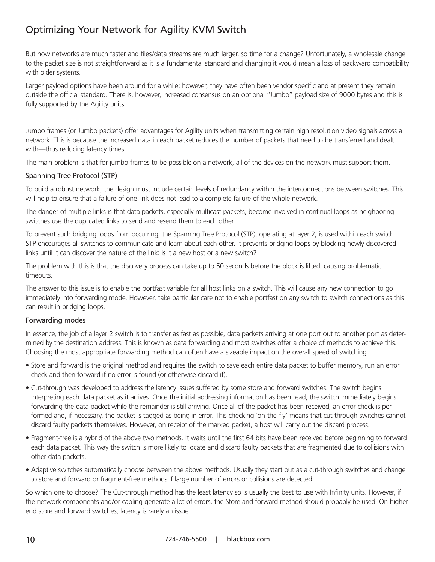## Optimizing Your Network for Agility KVM Switch

But now networks are much faster and files/data streams are much larger, so time for a change? Unfortunately, a wholesale change to the packet size is not straightforward as it is a fundamental standard and changing it would mean a loss of backward compatibility with older systems.

Larger payload options have been around for a while; however, they have often been vendor specific and at present they remain outside the official standard. There is, however, increased consensus on an optional "Jumbo" payload size of 9000 bytes and this is fully supported by the Agility units.

Jumbo frames (or Jumbo packets) offer advantages for Agility units when transmitting certain high resolution video signals across a network. This is because the increased data in each packet reduces the number of packets that need to be transferred and dealt with—thus reducing latency times.

The main problem is that for jumbo frames to be possible on a network, all of the devices on the network must support them.

#### Spanning Tree Protocol (STP)

To build a robust network, the design must include certain levels of redundancy within the interconnections between switches. This will help to ensure that a failure of one link does not lead to a complete failure of the whole network.

The danger of multiple links is that data packets, especially multicast packets, become involved in continual loops as neighboring switches use the duplicated links to send and resend them to each other.

To prevent such bridging loops from occurring, the Spanning Tree Protocol (STP), operating at layer 2, is used within each switch. STP encourages all switches to communicate and learn about each other. It prevents bridging loops by blocking newly discovered links until it can discover the nature of the link: is it a new host or a new switch?

The problem with this is that the discovery process can take up to 50 seconds before the block is lifted, causing problematic timeouts.

The answer to this issue is to enable the portfast variable for all host links on a switch. This will cause any new connection to go immediately into forwarding mode. However, take particular care not to enable portfast on any switch to switch connections as this can result in bridging loops.

#### Forwarding modes

In essence, the job of a layer 2 switch is to transfer as fast as possible, data packets arriving at one port out to another port as determined by the destination address. This is known as data forwarding and most switches offer a choice of methods to achieve this. Choosing the most appropriate forwarding method can often have a sizeable impact on the overall speed of switching:

- Store and forward is the original method and requires the switch to save each entire data packet to buffer memory, run an error check and then forward if no error is found (or otherwise discard it).
- Cut-through was developed to address the latency issues suffered by some store and forward switches. The switch begins interpreting each data packet as it arrives. Once the initial addressing information has been read, the switch immediately begins forwarding the data packet while the remainder is still arriving. Once all of the packet has been received, an error check is performed and, if necessary, the packet is tagged as being in error. This checking 'on-the-fly' means that cut-through switches cannot discard faulty packets themselves. However, on receipt of the marked packet, a host will carry out the discard process.
- Fragment-free is a hybrid of the above two methods. It waits until the first 64 bits have been received before beginning to forward each data packet. This way the switch is more likely to locate and discard faulty packets that are fragmented due to collisions with other data packets.
- Adaptive switches automatically choose between the above methods. Usually they start out as a cut-through switches and change to store and forward or fragment-free methods if large number of errors or collisions are detected.

So which one to choose? The Cut-through method has the least latency so is usually the best to use with Infinity units. However, if the network components and/or cabling generate a lot of errors, the Store and forward method should probably be used. On higher end store and forward switches, latency is rarely an issue.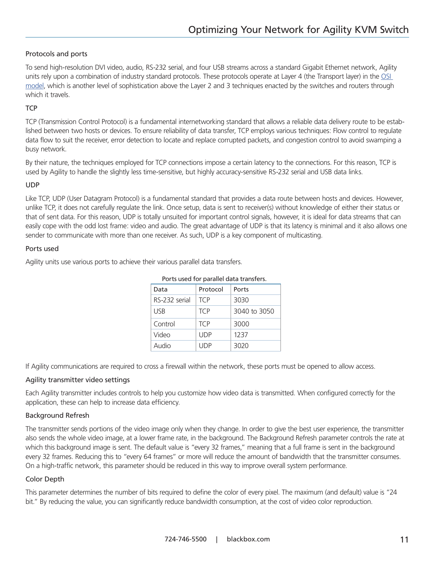#### Protocols and ports

To send high-resolution DVI video, audio, RS-232 serial, and four USB streams across a standard Gigabit Ethernet network, Agility units rely upon a combination of industry standard protocols. These protocols operate at Layer 4 (the Transport layer) in the OSI model, which is another level of sophistication above the Layer 2 and 3 techniques enacted by the switches and routers through which it travels.

#### **TCP**

TCP (Transmission Control Protocol) is a fundamental internetworking standard that allows a reliable data delivery route to be established between two hosts or devices. To ensure reliability of data transfer, TCP employs various techniques: Flow control to regulate data flow to suit the receiver, error detection to locate and replace corrupted packets, and congestion control to avoid swamping a busy network.

By their nature, the techniques employed for TCP connections impose a certain latency to the connections. For this reason, TCP is used by Agility to handle the slightly less time-sensitive, but highly accuracy-sensitive RS-232 serial and USB data links.

#### UDP

Like TCP, UDP (User Datagram Protocol) is a fundamental standard that provides a data route between hosts and devices. However, unlike TCP, it does not carefully regulate the link. Once setup, data is sent to receiver(s) without knowledge of either their status or that of sent data. For this reason, UDP is totally unsuited for important control signals, however, it is ideal for data streams that can easily cope with the odd lost frame: video and audio. The great advantage of UDP is that its latency is minimal and it also allows one sender to communicate with more than one receiver. As such, UDP is a key component of multicasting.

#### Ports used

Agility units use various ports to achieve their various parallel data transfers.

| Data          | Protocol   | Ports        |
|---------------|------------|--------------|
| RS-232 serial | <b>TCP</b> | 3030         |
| <b>USB</b>    | <b>TCP</b> | 3040 to 3050 |
| Control       | <b>TCP</b> | 3000         |
| Video         | <b>UDP</b> | 1237         |
| Audio         | <b>UDP</b> | 3020         |

#### Ports used for parallel data transfers.

If Agility communications are required to cross a firewall within the network, these ports must be opened to allow access.

#### Agility transmitter video settings

Each Agility transmitter includes controls to help you customize how video data is transmitted. When configured correctly for the application, these can help to increase data efficiency.

#### Background Refresh

The transmitter sends portions of the video image only when they change. In order to give the best user experience, the transmitter also sends the whole video image, at a lower frame rate, in the background. The Background Refresh parameter controls the rate at which this background image is sent. The default value is "every 32 frames," meaning that a full frame is sent in the background every 32 frames. Reducing this to "every 64 frames" or more will reduce the amount of bandwidth that the transmitter consumes. On a high-traffic network, this parameter should be reduced in this way to improve overall system performance.

#### Color Depth

This parameter determines the number of bits required to define the color of every pixel. The maximum (and default) value is "24 bit." By reducing the value, you can significantly reduce bandwidth consumption, at the cost of video color reproduction.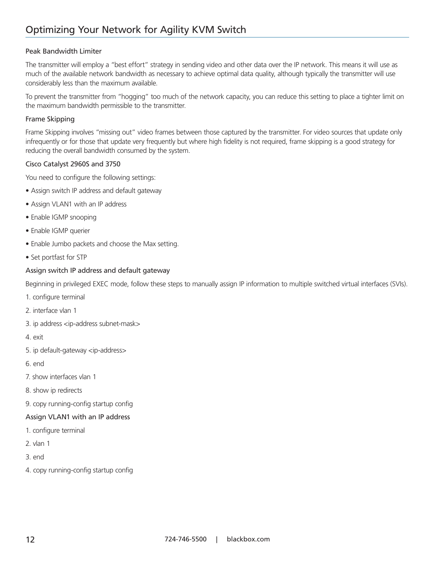#### Peak Bandwidth Limiter

The transmitter will employ a "best effort" strategy in sending video and other data over the IP network. This means it will use as much of the available network bandwidth as necessary to achieve optimal data quality, although typically the transmitter will use considerably less than the maximum available.

To prevent the transmitter from "hogging" too much of the network capacity, you can reduce this setting to place a tighter limit on the maximum bandwidth permissible to the transmitter.

#### Frame Skipping

Frame Skipping involves "missing out" video frames between those captured by the transmitter. For video sources that update only infrequently or for those that update very frequently but where high fidelity is not required, frame skipping is a good strategy for reducing the overall bandwidth consumed by the system.

#### Cisco Catalyst 2960S and 3750

You need to configure the following settings:

- Assign switch IP address and default gateway
- Assign VLAN1 with an IP address
- Enable IGMP snooping
- Enable IGMP querier
- Enable Jumbo packets and choose the Max setting.
- Set portfast for STP

#### Assign switch IP address and default gateway

Beginning in privileged EXEC mode, follow these steps to manually assign IP information to multiple switched virtual interfaces (SVIs).

- 1. configure terminal
- 2. interface vlan 1
- 3. ip address <ip-address subnet-mask>
- 4. exit
- 5. ip default-gateway <ip-address>
- 6. end
- 7. show interfaces vlan 1
- 8. show ip redirects
- 9. copy running-config startup config

#### Assign VLAN1 with an IP address

- 1. configure terminal
- 2. vlan 1
- 3. end
- 4. copy running-config startup config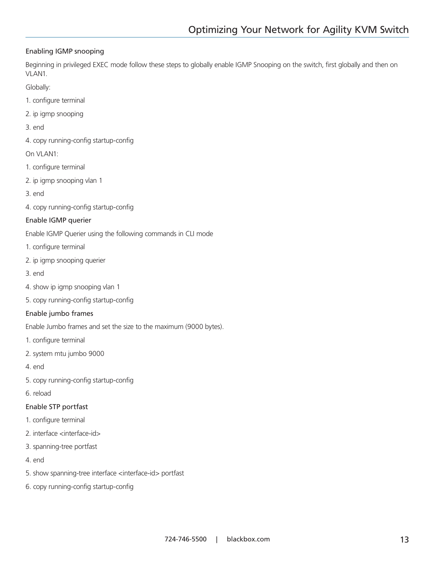#### Enabling IGMP snooping

Beginning in privileged EXEC mode follow these steps to globally enable IGMP Snooping on the switch, first globally and then on VLAN1.

Globally:

- 1. configure terminal
- 2. ip igmp snooping

3. end

4. copy running-config startup-config

On VLAN1:

- 1. configure terminal
- 2. ip igmp snooping vlan 1

3. end

4. copy running-config startup-config

#### Enable IGMP querier

Enable IGMP Querier using the following commands in CLI mode

- 1. configure terminal
- 2. ip igmp snooping querier
- 3. end
- 4. show ip igmp snooping vlan 1
- 5. copy running-config startup-config

#### Enable jumbo frames

Enable Jumbo frames and set the size to the maximum (9000 bytes).

- 1. configure terminal
- 2. system mtu jumbo 9000
- 4. end
- 5. copy running-config startup-config
- 6. reload

#### Enable STP portfast

- 1. configure terminal
- 2. interface <interface-id>
- 3. spanning-tree portfast
- 4. end
- 5. show spanning-tree interface <interface-id> portfast
- 6. copy running-config startup-config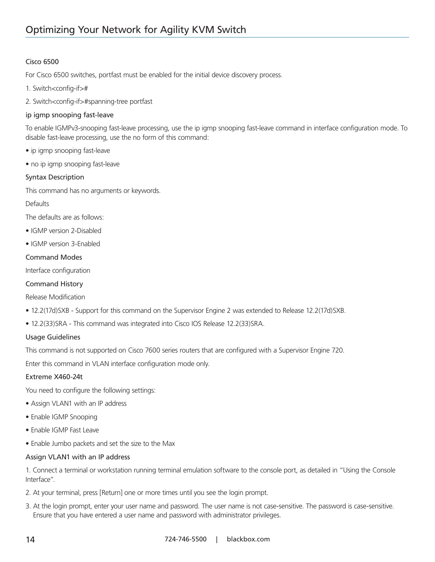#### Cisco 6500

For Cisco 6500 switches, portfast must be enabled for the initial device discovery process.

- 1. Switch<config-if>#
- 2. Switch<config-if>#spanning-tree portfast

#### ip igmp snooping fast-leave

To enable IGMPv3-snooping fast-leave processing, use the ip igmp snooping fast-leave command in interface configuration mode. To disable fast-leave processing, use the no form of this command:

- ip igmp snooping fast-leave
- no ip igmp snooping fast-leave

#### Syntax Description

This command has no arguments or keywords.

#### **Defaults**

The defaults are as follows:

- IGMP version 2-Disabled
- IGMP version 3-Enabled

#### Command Modes

Interface configuration

#### Command History

Release Modification

- 12.2(17d)SXB Support for this command on the Supervisor Engine 2 was extended to Release 12.2(17d)SXB.
- 12.2(33)SRA This command was integrated into Cisco IOS Release 12.2(33)SRA.

#### Usage Guidelines

This command is not supported on Cisco 7600 series routers that are configured with a Supervisor Engine 720.

Enter this command in VLAN interface configuration mode only.

#### Extreme X460-24t

You need to configure the following settings:

- Assign VLAN1 with an IP address
- Enable IGMP Snooping
- Enable IGMP Fast Leave
- Enable Jumbo packets and set the size to the Max

#### Assign VLAN1 with an IP address

1. Connect a terminal or workstation running terminal emulation software to the console port, as detailed in "Using the Console Interface".

- 2. At your terminal, press [Return] one or more times until you see the login prompt.
- 3. At the login prompt, enter your user name and password. The user name is not case-sensitive. The password is case-sensitive. Ensure that you have entered a user name and password with administrator privileges.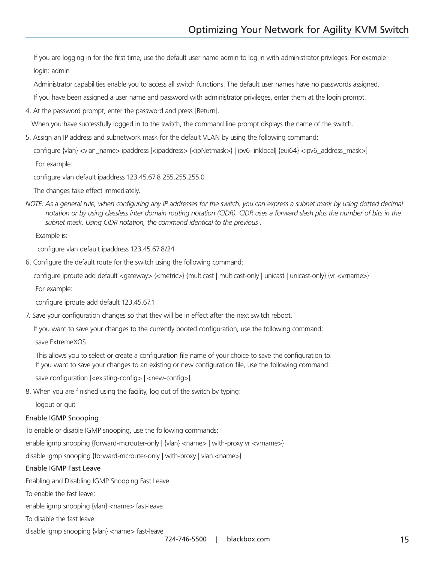If you are logging in for the first time, use the default user name admin to log in with administrator privileges. For example: login: admin

Administrator capabilities enable you to access all switch functions. The default user names have no passwords assigned.

If you have been assigned a user name and password with administrator privileges, enter them at the login prompt.

4. At the password prompt, enter the password and press [Return].

When you have successfully logged in to the switch, the command line prompt displays the name of the switch.

5. Assign an IP address and subnetwork mask for the default VLAN by using the following command:

 configure {vlan} <vlan\_name> ipaddress [<ipaddress> {<ipNetmask>} | ipv6-linklocal| {eui64} <ipv6\_address\_mask>] For example:

configure vlan default ipaddress 123.45.67.8 255.255.255.0

The changes take effect immediately.

*NOTE: As a general rule, when configuring any IP addresses for the switch, you can express a subnet mask by using dotted decimal notation or by using classless inter domain routing notation (CIDR). CIDR uses a forward slash plus the number of bits in the subnet mask. Using CIDR notation, the command identical to the previous .*

Example is:

configure vlan default ipaddress 123.45.67.8/24

6. Configure the default route for the switch using the following command:

configure iproute add default <gateway> {<metric>} {multicast | multicast-only | unicast | unicast-only} {vr <vrname>}

For example:

configure iproute add default 123.45.67.1

7. Save your configuration changes so that they will be in effect after the next switch reboot.

If you want to save your changes to the currently booted configuration, use the following command:

save ExtremeXOS

 This allows you to select or create a configuration file name of your choice to save the configuration to. If you want to save your changes to an existing or new configuration file, use the following command:

save configuration [<existing-config> | <new-config>]

8. When you are finished using the facility, log out of the switch by typing:

logout or quit

#### Enable IGMP Snooping

To enable or disable IGMP snooping, use the following commands:

enable igmp snooping {forward-mcrouter-only | {vlan} <name> | with-proxy vr <vrname>}

disable igmp snooping {forward-mcrouter-only | with-proxy | vlan <name>}

#### Enable IGMP Fast Leave

Enabling and Disabling IGMP Snooping Fast Leave

To enable the fast leave:

enable igmp snooping {vlan} <name> fast-leave

To disable the fast leave:

disable igmp snooping {vlan} <name> fast-leave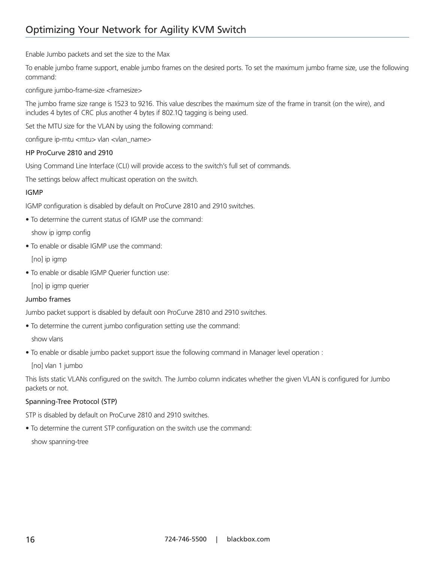Enable Jumbo packets and set the size to the Max

To enable jumbo frame support, enable jumbo frames on the desired ports. To set the maximum jumbo frame size, use the following command:

configure jumbo-frame-size <framesize>

The jumbo frame size range is 1523 to 9216. This value describes the maximum size of the frame in transit (on the wire), and includes 4 bytes of CRC plus another 4 bytes if 802.1Q tagging is being used.

Set the MTU size for the VLAN by using the following command:

configure ip-mtu <mtu> vlan <vlan\_name>

#### HP ProCurve 2810 and 2910

Using Command Line Interface (CLI) will provide access to the switch's full set of commands.

The settings below affect multicast operation on the switch.

#### IGMP

IGMP configuration is disabled by default on ProCurve 2810 and 2910 switches.

• To determine the current status of IGMP use the command:

show ip igmp config

• To enable or disable IGMP use the command:

[no] ip igmp

• To enable or disable IGMP Querier function use:

[no] ip igmp querier

#### Jumbo frames

Jumbo packet support is disabled by default oon ProCurve 2810 and 2910 switches.

• To determine the current jumbo configuration setting use the command:

show vlans

• To enable or disable jumbo packet support issue the following command in Manager level operation :

[no] vlan 1 jumbo

This lists static VLANs configured on the switch. The Jumbo column indicates whether the given VLAN is configured for Jumbo packets or not.

#### Spanning-Tree Protocol (STP)

STP is disabled by default on ProCurve 2810 and 2910 switches.

• To determine the current STP configuration on the switch use the command:

show spanning-tree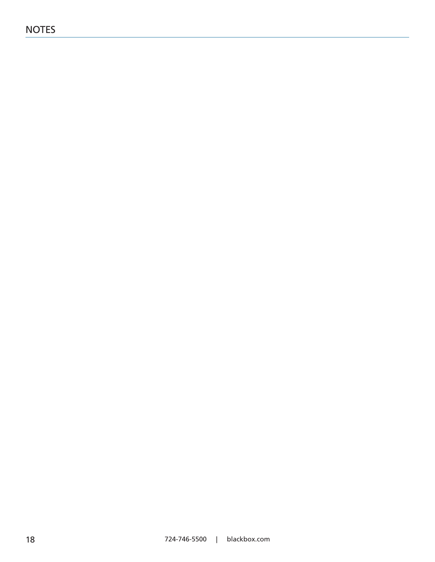## NOTES